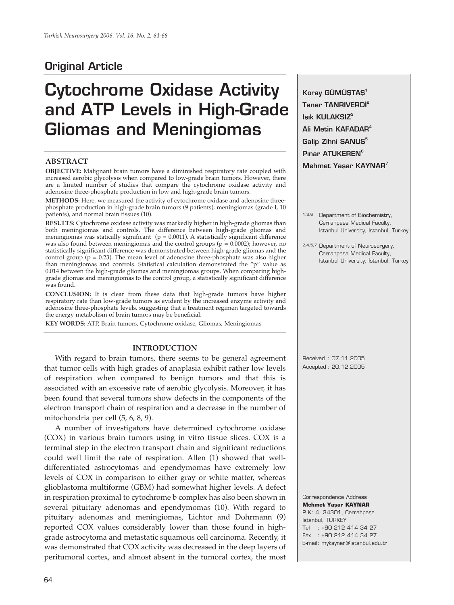# **Original Article**

# **Cytochrome Oxidase Activity and ATP Levels in High-Grade Gliomas and Meningiomas**

# **ABSTRACT**

**OBJECTIVE:** Malignant brain tumors have a diminished respiratory rate coupled with increased aerobic glycolysis when compared to low-grade brain tumors. However, there are a limited number of studies that compare the cytochrome oxidase activity and adenosine three-phosphate production in low and high-grade brain tumors.

**METHODS:** Here, we measured the activity of cytochrome oxidase and adenosine threephosphate production in high-grade brain tumors (9 patients), meningiomas (grade I, 10 patients), and normal brain tissues (10).

**RESULTS:** Cytochrome oxidase activity was markedly higher in high-grade gliomas than both meningiomas and controls. The difference between high-grade gliomas and meningiomas was statically significant ( $p = 0.0011$ ). A statistically significant difference was also found between meningiomas and the control groups ( $p = 0.0002$ ); however, no statistically significant difference was demonstrated between high-grade gliomas and the control group ( $p = 0.23$ ). The mean level of adenosine three-phosphate was also higher than meningiomas and controls. Statistical calculation demonstrated the "p" value as 0.014 between the high-grade gliomas and meningiomas groups. When comparing highgrade gliomas and meningiomas to the control group, a statistically significant difference was found.

**CONCLUSION:** It is clear from these data that high-grade tumors have higher respiratory rate than low-grade tumors as evident by the increased enzyme activity and adenosine three-phosphate levels, suggesting that a treatment regimen targeted towards the energy metabolism of brain tumors may be beneficial.

**KEY WORDS:** ATP, Brain tumors, Cytochrome oxidase, Gliomas, Meningiomas

## **INTRODUCTION**

With regard to brain tumors, there seems to be general agreement that tumor cells with high grades of anaplasia exhibit rather low levels of respiration when compared to benign tumors and that this is associated with an excessive rate of aerobic glycolysis. Moreover, it has been found that several tumors show defects in the components of the electron transport chain of respiration and a decrease in the number of mitochondria per cell (5, 6, 8, 9).

A number of investigators have determined cytochrome oxidase (COX) in various brain tumors using in vitro tissue slices. COX is a terminal step in the electron transport chain and significant reductions could well limit the rate of respiration. Allen (1) showed that welldifferentiated astrocytomas and ependymomas have extremely low levels of COX in comparison to either gray or white matter, whereas glioblastoma multiforme (GBM) had somewhat higher levels. A defect in respiration proximal to cytochrome b complex has also been shown in several pituitary adenomas and ependymomas (10). With regard to pituitary adenomas and meningiomas, Lichtor and Dohrmann (9) reported COX values considerably lower than those found in highgrade astrocytoma and metastatic squamous cell carcinoma. Recently, it was demonstrated that COX activity was decreased in the deep layers of peritumoral cortex, and almost absent in the tumoral cortex, the most

**Koray GÜMÜŞTAŞ**<sup>1</sup> **Taner TANRIVERDI<sup>2</sup> Isik KULAKSIZ**<sup>3</sup> **Ali Metin KAFADAR4** Galip Zihni SANUS<sup>5</sup> **P**ınar ATUKEREN<sup>6</sup> **Mehmet Yasar KAYNAR**<sup>7</sup> 1,3,6 Department of Biochemistry, Cerrahpașa Medical Faculty, Istanbul University, Istanbul, Turkey 2,4,5,7 Department of Neurosurgery, Cerrahpaşa Medical Faculty, Istanbul University, Istanbul, Turkey Received : 07.11.2005 Accepted : 20.12.2005 Correspondence Address **Mehmet Yaşar KAYNAR** P.K: 4, 34301, Cerrahpaşa Istanbul, TURKEY

Tel : +90 212 414 34 27 Fax : +90 212 414 34 27 E-mail : mykaynar@istanbul.edu.tr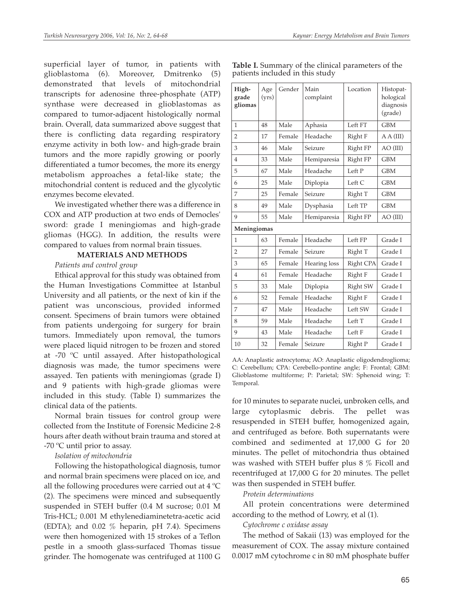superficial layer of tumor, in patients with glioblastoma (6). Moreover, Dmitrenko (5) demonstrated that levels of mitochondrial transcripts for adenosine three-phosphate (ATP) synthase were decreased in glioblastomas as compared to tumor-adjacent histologically normal brain. Overall, data summarized above suggest that there is conflicting data regarding respiratory enzyme activity in both low- and high-grade brain tumors and the more rapidly growing or poorly differentiated a tumor becomes, the more its energy metabolism approaches a fetal-like state; the mitochondrial content is reduced and the glycolytic enzymes become elevated.

We investigated whether there was a difference in COX and ATP production at two ends of Democles' sword: grade I meningiomas and high-grade gliomas (HGG). In addition, the results were compared to values from normal brain tissues.

#### **MATERIALS AND METHODS**

# *Patients and control group*

Ethical approval for this study was obtained from the Human Investigations Committee at Istanbul University and all patients, or the next of kin if the patient was unconscious, provided informed consent. Specimens of brain tumors were obtained from patients undergoing for surgery for brain tumors. Immediately upon removal, the tumors were placed liquid nitrogen to be frozen and stored at -70 ºC until assayed. After histopathological diagnosis was made, the tumor specimens were assayed. Ten patients with meningiomas (grade I) and 9 patients with high-grade gliomas were included in this study. (Table I) summarizes the clinical data of the patients.

Normal brain tissues for control group were collected from the Institute of Forensic Medicine 2-8 hours after death without brain trauma and stored at -70 ºC until prior to assay.

# *Isolation of mitochondria*

Following the histopathological diagnosis, tumor and normal brain specimens were placed on ice, and all the following procedures were carried out at 4 ºC (2). The specimens were minced and subsequently suspended in STEH buffer (0.4 M sucrose; 0.01 M Tris-HCL; 0.001 M ethylenediaminetetra-acetic acid (EDTA); and 0.02 % heparin, pH 7.4). Specimens were then homogenized with 15 strokes of a Teflon pestle in a smooth glass-surfaced Thomas tissue grinder. The homogenate was centrifuged at 1100 G

|                                 |  | Table I. Summary of the clinical parameters of the |  |
|---------------------------------|--|----------------------------------------------------|--|
| patients included in this study |  |                                                    |  |

| High-<br>grade<br>gliomas | Age<br>(vrs) | Gender | Main<br>complaint | Location  | Histopat-<br>hological<br>diagnosis<br>(grade) |  |  |
|---------------------------|--------------|--------|-------------------|-----------|------------------------------------------------|--|--|
| $\mathbf{1}$              | 48           | Male   | Aphasia           | Left FT   | <b>GBM</b>                                     |  |  |
| $\overline{2}$            | 17           | Female | Headache          | Right F   | A A (III)                                      |  |  |
| 3                         | 46           | Male   | Seizure           | Right FP  | $AO$ (III)                                     |  |  |
| $\overline{4}$            | 33           | Male   | Hemiparesia       | Right FP  | <b>GBM</b>                                     |  |  |
| 5                         | 67           | Male   | Headache          | Left P    | <b>GBM</b>                                     |  |  |
| 6                         | 25           | Male   | Diplopia          | Left C    | <b>GBM</b>                                     |  |  |
| 7                         | 25           | Female | Seizure           | Right T   | <b>GBM</b>                                     |  |  |
| 8                         | 49           | Male   | Dysphasia         | Left TP   | <b>GBM</b>                                     |  |  |
| 9                         | 55           | Male   | Hemiparesia       | Right FP  | $AO$ (III)                                     |  |  |
| Meningiomas               |              |        |                   |           |                                                |  |  |
| 1                         | 63           | Female | Headache          | Left FP   | Grade I                                        |  |  |
| $\overline{2}$            | 27           | Female | Seizure           | Right T   | Grade I                                        |  |  |
| 3                         | 65           | Female | Hearing loss      | Right CPA | Grade I                                        |  |  |
| $\overline{4}$            | 61           | Female | Headache          | Right F   | Grade I                                        |  |  |
| 5                         | 33           | Male   | Diplopia          | Right SW  | Grade I                                        |  |  |
| 6                         | 52           | Female | Headache          | Right F   | Grade I                                        |  |  |
| 7                         | 47           | Male   | Headache          | Left SW   | Grade I                                        |  |  |
| 8                         | 59           | Male   | Headache          | Left T    | Grade I                                        |  |  |
| 9                         | 43           | Male   | Headache          | Left F    | Grade I                                        |  |  |
| 10                        | 32           | Female | Seizure           | Right P   | Grade I                                        |  |  |

AA: Anaplastic astrocytoma; AO: Anaplastic oligodendroglioma; C: Cerebellum; CPA: Cerebello-pontine angle; F: Frontal; GBM: Glioblastome multiforme; P: Parietal; SW: Sphenoid wing; T: Temporal.

for 10 minutes to separate nuclei, unbroken cells, and large cytoplasmic debris. The pellet was resuspended in STEH buffer, homogenized again, and centrifuged as before. Both supernatants were combined and sedimented at 17,000 G for 20 minutes. The pellet of mitochondria thus obtained was washed with STEH buffer plus 8 % Ficoll and recentrifuged at 17,000 G for 20 minutes. The pellet was then suspended in STEH buffer.

# *Protein determinations*

All protein concentrations were determined according to the method of Lowry, et al (1).

# *Cytochrome c oxidase assay*

The method of Sakaii (13) was employed for the measurement of COX. The assay mixture contained 0.0017 mM cytochrome c in 80 mM phosphate buffer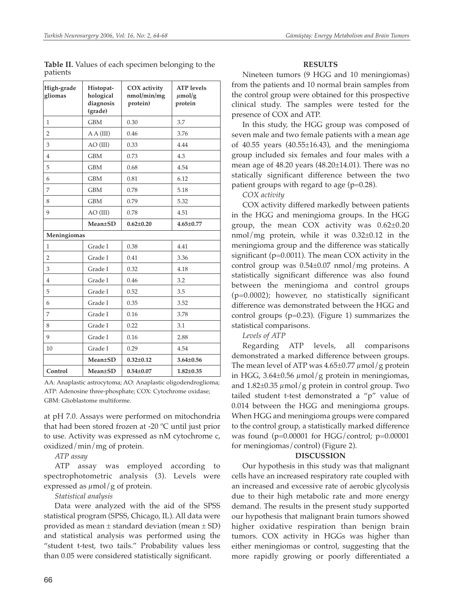| High-grade<br>gliomas | Histopat-<br>hological<br>diagnosis<br>(grade) | COX activity<br>nmol/min/mg<br>protein) | <b>ATP</b> levels<br>$\mu$ mol/g<br>protein |
|-----------------------|------------------------------------------------|-----------------------------------------|---------------------------------------------|
| 1                     | <b>GBM</b>                                     | 0.30                                    | 3.7                                         |
| 2                     | A A (III)                                      | 0.46                                    | 3.76                                        |
| 3                     | $AO$ (III)                                     | 0.33                                    | 4.44                                        |
| 4                     | <b>GBM</b>                                     | 0.73                                    | 4.3                                         |
| 5                     | <b>GBM</b>                                     | 0.68                                    | 4.54                                        |
| 6                     | <b>GBM</b>                                     | 0.81                                    | 6.12                                        |
| 7                     | <b>GBM</b>                                     | 0.78                                    | 5.18                                        |
| 8                     | <b>GBM</b>                                     | 0.79                                    | 5.32                                        |
| 9                     | $AO$ (III)                                     | 0.78                                    | 4.51                                        |
|                       | <b>Mean</b> ±SD                                | $0.62 \pm 0.20$                         | $4.65 \pm 0.77$                             |
| Meningiomas           |                                                |                                         |                                             |
| $\mathbf{1}$          | Grade I                                        | 0.38                                    | 4.41                                        |
| 2                     | Grade I                                        | 0.41                                    | 3.36                                        |
| 3                     | Grade I                                        | 0.32                                    | 4.18                                        |
| 4                     | Grade I                                        | 0.46                                    | 3.2                                         |
| 5                     | Grade I                                        | 0.52                                    | 3.5                                         |
| 6                     | Grade I                                        | 0.35                                    | 3.52                                        |
| 7                     | Grade I                                        | 0.16                                    | 3.78                                        |
| 8                     | Grade I                                        | 0.22                                    | 3.1                                         |
| 9                     | Grade I                                        | 0.16                                    | 2.88                                        |
| 10                    | Grade I                                        | 0.29                                    | 4.54                                        |
|                       | <b>Mean</b> ±SD                                | $0.32 \pm 0.12$                         | $3.64 \pm 0.56$                             |
| Control               | <b>Mean</b> ±SD                                | $0.54 \pm 0.07$                         | $1.82 \pm 0.35$                             |

**Table II.** Values of each specimen belonging to the patients

AA: Anaplastic astrocytoma; AO: Anaplastic oligodendroglioma; ATP: Adenosine three-phosphate; COX: Cytochrome oxidase; GBM: Glioblastome multiforme.

at pH 7.0. Assays were performed on mitochondria that had been stored frozen at -20 ºC until just prior to use. Activity was expressed as nM cytochrome c, oxidized/min/mg of protein.

*ATP assay*

ATP assay was employed according to spectrophotometric analysis (3). Levels were expressed as  $\mu$ mol/g of protein.

#### *Statistical analysis*

Data were analyzed with the aid of the SPSS statistical program (SPSS, Chicago, IL). All data were provided as mean  $\pm$  standard deviation (mean  $\pm$  SD) and statistical analysis was performed using the "student t-test, two tails." Probability values less than 0.05 were considered statistically significant.

# **RESULTS**

Nineteen tumors (9 HGG and 10 meningiomas) from the patients and 10 normal brain samples from the control group were obtained for this prospective clinical study. The samples were tested for the presence of COX and ATP.

In this study, the HGG group was composed of seven male and two female patients with a mean age of 40.55 years (40.55±16.43), and the meningioma group included six females and four males with a mean age of 48.20 years (48.20±14.01). There was no statically significant difference between the two patient groups with regard to age  $(p=0.28)$ .

*COX activity* 

COX activity differed markedly between patients in the HGG and meningioma groups. In the HGG group, the mean COX activity was 0.62±0.20 nmol/mg protein, while it was 0.32±0.12 in the meningioma group and the difference was statically significant (p=0.0011). The mean COX activity in the control group was 0.54±0.07 nmol/mg proteins. A statistically significant difference was also found between the meningioma and control groups (p=0.0002); however, no statistically significant difference was demonstrated between the HGG and control groups (p=0.23). (Figure 1) summarizes the statistical comparisons.

*Levels of ATP* 

Regarding ATP levels, all comparisons demonstrated a marked difference between groups. The mean level of ATP was  $4.65 \pm 0.77 \mu$  mol/g protein in HGG, 3.64 $\pm$ 0.56  $\mu$ mol/g protein in meningiomas, and  $1.82\pm0.35 \mu$ mol/g protein in control group. Two tailed student t-test demonstrated a "p" value of 0.014 between the HGG and meningioma groups. When HGG and meningioma groups were compared to the control group, a statistically marked difference was found  $(p=0.00001$  for HGG/control;  $p=0.00001$ for meningiomas/control) (Figure 2).

#### **DISCUSSION**

Our hypothesis in this study was that malignant cells have an increased respiratory rate coupled with an increased and excessive rate of aerobic glycolysis due to their high metabolic rate and more energy demand. The results in the present study supported our hypothesis that malignant brain tumors showed higher oxidative respiration than benign brain tumors. COX activity in HGGs was higher than either meningiomas or control, suggesting that the more rapidly growing or poorly differentiated a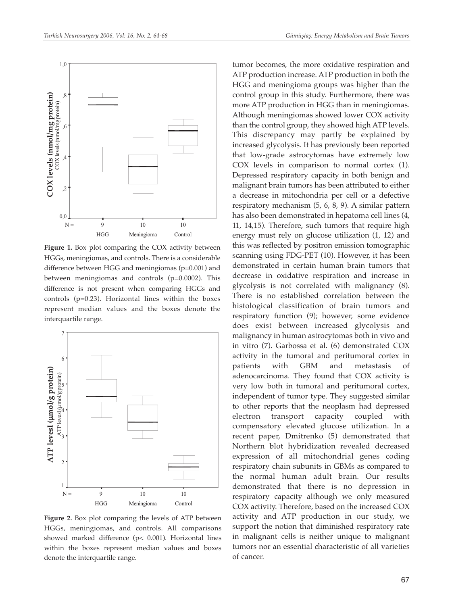

Figure 1. Box plot comparing the COX activity between HGGs, meningiomas, and controls. There is a considerable difference between HGG and meningiomas (p=0.001) and between meningiomas and controls (p=0.0002). This difference is not present when comparing HGGs and controls (p=0.23). Horizontal lines within the boxes represent median values and the boxes denote the interquartile range.



**Figure 2.** Box plot comparing the levels of ATP between HGGs, meningiomas, and controls. All comparisons showed marked difference (p< 0.001). Horizontal lines within the boxes represent median values and boxes denote the interquartile range.

tumor becomes, the more oxidative respiration and ATP production increase. ATP production in both the HGG and meningioma groups was higher than the control group in this study. Furthermore, there was more ATP production in HGG than in meningiomas. Although meningiomas showed lower COX activity than the control group, they showed high ATP levels. This discrepancy may partly be explained by increased glycolysis. It has previously been reported that low-grade astrocytomas have extremely low COX levels in comparison to normal cortex (1). Depressed respiratory capacity in both benign and malignant brain tumors has been attributed to either a decrease in mitochondria per cell or a defective respiratory mechanism (5, 6, 8, 9). A similar pattern has also been demonstrated in hepatoma cell lines (4, 11, 14,15). Therefore, such tumors that require high energy must rely on glucose utilization (1, 12) and this was reflected by positron emission tomographic scanning using FDG-PET (10). However, it has been demonstrated in certain human brain tumors that decrease in oxidative respiration and increase in glycolysis is not correlated with malignancy (8). There is no established correlation between the histological classification of brain tumors and respiratory function (9); however, some evidence does exist between increased glycolysis and malignancy in human astrocytomas both in vivo and in vitro (7). Garbossa et al. (6) demonstrated COX activity in the tumoral and peritumoral cortex in patients with GBM and metastasis of adenocarcinoma. They found that COX activity is very low both in tumoral and peritumoral cortex, independent of tumor type. They suggested similar to other reports that the neoplasm had depressed electron transport capacity coupled with compensatory elevated glucose utilization. In a recent paper, Dmitrenko (5) demonstrated that Northern blot hybridization revealed decreased expression of all mitochondrial genes coding respiratory chain subunits in GBMs as compared to the normal human adult brain. Our results demonstrated that there is no depression in respiratory capacity although we only measured COX activity. Therefore, based on the increased COX activity and ATP production in our study, we support the notion that diminished respiratory rate in malignant cells is neither unique to malignant tumors nor an essential characteristic of all varieties of cancer.